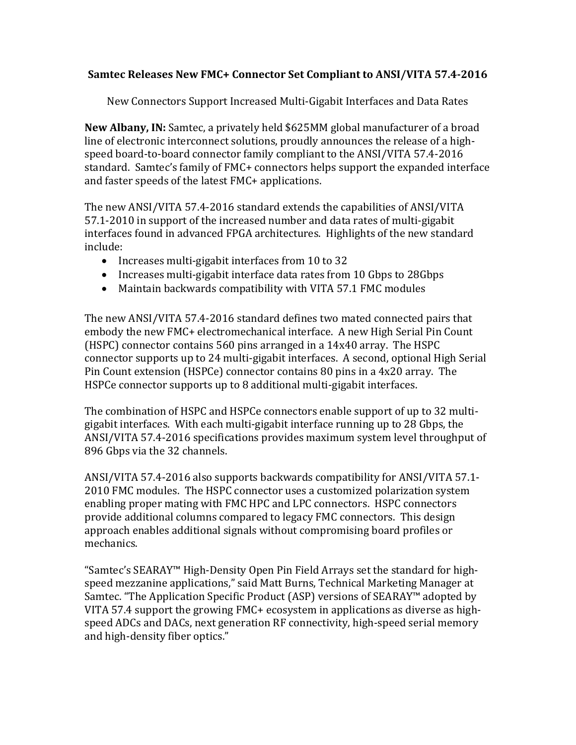## **Samtec Releases New FMC+ Connector Set Compliant to ANSI/VITA 57.4‐2016**

New Connectors Support Increased Multi-Gigabit Interfaces and Data Rates

**New Albany, IN:** Samtec, a privately held \$625MM global manufacturer of a broad line of electronic interconnect solutions, proudly announces the release of a highspeed board-to-board connector family compliant to the ANSI/VITA 57.4-2016 standard. Samtec's family of FMC+ connectors helps support the expanded interface and faster speeds of the latest FMC+ applications.

The new ANSI/VITA 57.4-2016 standard extends the capabilities of ANSI/VITA 57.1-2010 in support of the increased number and data rates of multi-gigabit interfaces found in advanced FPGA architectures. Highlights of the new standard include: 

- Increases multi-gigabit interfaces from 10 to 32
- Increases multi-gigabit interface data rates from 10 Gbps to 28Gbps
- Maintain backwards compatibility with VITA 57.1 FMC modules

The new ANSI/VITA 57.4-2016 standard defines two mated connected pairs that embody the new FMC+ electromechanical interface. A new High Serial Pin Count (HSPC) connector contains  $560$  pins arranged in a  $14x40$  array. The HSPC connector supports up to 24 multi-gigabit interfaces. A second, optional High Serial Pin Count extension (HSPCe) connector contains 80 pins in a 4x20 array. The HSPCe connector supports up to 8 additional multi-gigabit interfaces.

The combination of HSPC and HSPCe connectors enable support of up to 32 multigigabit interfaces. With each multi-gigabit interface running up to 28 Gbps, the ANSI/VITA 57.4-2016 specifications provides maximum system level throughput of 896 Gbps via the 32 channels.

ANSI/VITA 57.4-2016 also supports backwards compatibility for ANSI/VITA 57.1-2010 FMC modules. The HSPC connector uses a customized polarization system enabling proper mating with FMC HPC and LPC connectors. HSPC connectors provide additional columns compared to legacy FMC connectors. This design approach enables additional signals without compromising board profiles or mechanics. 

"Samtec's SEARAY™ High-Density Open Pin Field Arrays set the standard for highspeed mezzanine applications," said Matt Burns, Technical Marketing Manager at Samtec. "The Application Specific Product (ASP) versions of SEARAY™ adopted by VITA 57.4 support the growing  $FMC+$  ecosystem in applications as diverse as highspeed ADCs and DACs, next generation RF connectivity, high-speed serial memory and high-density fiber optics."